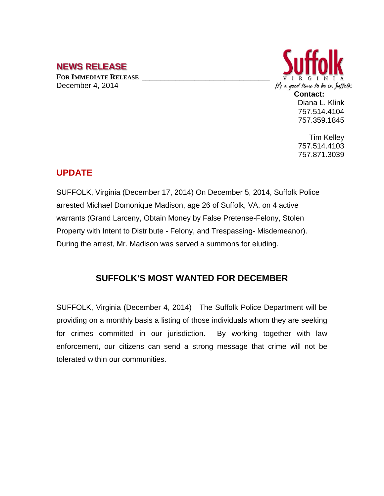## **NEWS RELEASE**

**FOR IMMEDIATE RELEASE \_\_\_\_\_\_\_\_\_\_\_\_\_\_\_\_\_\_\_\_\_\_\_\_\_\_\_\_\_\_\_\_\_\_** December 4, 2014



Diana L. Klink 757.514.4104 757.359.1845

Tim Kelley 757.514.4103 757.871.3039

## **UPDATE**

SUFFOLK, Virginia (December 17, 2014) On December 5, 2014, Suffolk Police arrested Michael Domonique Madison, age 26 of Suffolk, VA, on 4 active warrants (Grand Larceny, Obtain Money by False Pretense-Felony, Stolen Property with Intent to Distribute - Felony, and Trespassing- Misdemeanor). During the arrest, Mr. Madison was served a summons for eluding.

## **SUFFOLK'S MOST WANTED FOR DECEMBER**

SUFFOLK, Virginia (December 4, 2014) The Suffolk Police Department will be providing on a monthly basis a listing of those individuals whom they are seeking for crimes committed in our jurisdiction. By working together with law enforcement, our citizens can send a strong message that crime will not be tolerated within our communities.